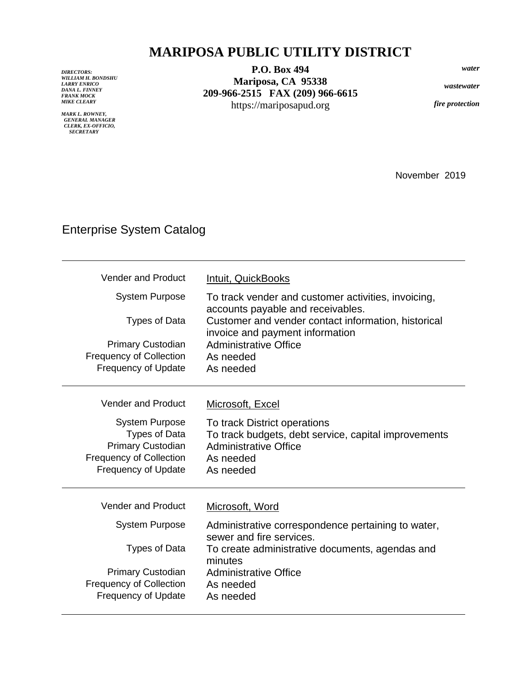## **MARIPOSA PUBLIC UTILITY DISTRICT**

*DIRECTORS: WILLIAM H. BONDSHU LARRY ENRICO DANA L. FINNEY FRANK MOCK MIKE CLEARY*

*MARK L. ROWNEY, GENERAL MANAGER CLERK, EX-OFFICIO, SECRETARY*

**P.O. Box 494 Mariposa, CA 95338 209-966-2515 FAX (209) 966-6615** https://mariposapud.org

*water*

*wastewater*

*fire protection*

November 2019

## Enterprise System Catalog

| <b>Vender and Product</b><br><b>System Purpose</b><br><b>Types of Data</b><br><b>Primary Custodian</b><br><b>Frequency of Collection</b><br><b>Frequency of Update</b> | Intuit, QuickBooks<br>To track vender and customer activities, invoicing,<br>accounts payable and receivables.<br>Customer and vender contact information, historical<br>invoice and payment information<br>Administrative Office<br>As needed<br>As needed |
|------------------------------------------------------------------------------------------------------------------------------------------------------------------------|-------------------------------------------------------------------------------------------------------------------------------------------------------------------------------------------------------------------------------------------------------------|
| <b>Vender and Product</b><br><b>System Purpose</b><br><b>Types of Data</b><br>Primary Custodian<br><b>Frequency of Collection</b><br><b>Frequency of Update</b>        | Microsoft, Excel<br>To track District operations<br>To track budgets, debt service, capital improvements<br>Administrative Office<br>As needed<br>As needed                                                                                                 |
| <b>Vender and Product</b><br><b>System Purpose</b><br>Types of Data<br><b>Primary Custodian</b><br><b>Frequency of Collection</b><br><b>Frequency of Update</b>        | Microsoft, Word<br>Administrative correspondence pertaining to water,<br>sewer and fire services.<br>To create administrative documents, agendas and<br>minutes<br><b>Administrative Office</b><br>As needed<br>As needed                                   |